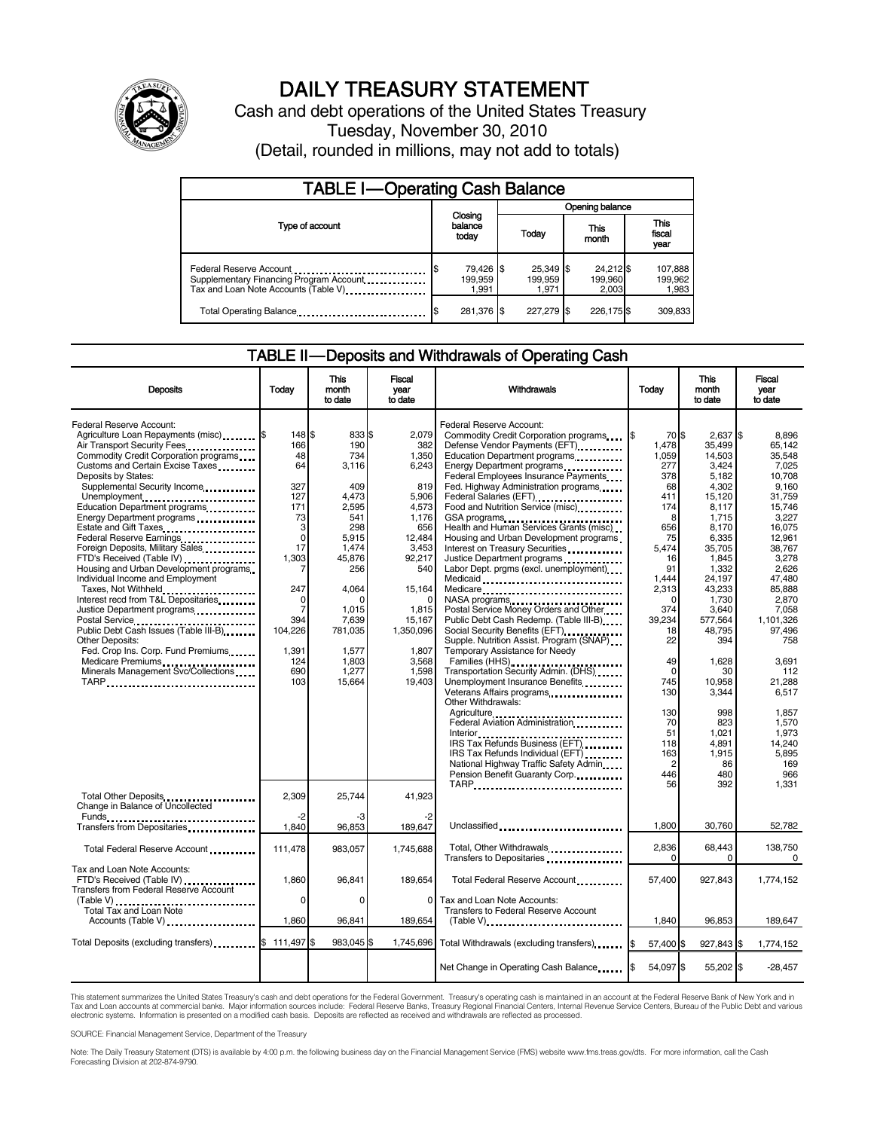

# DAILY TREASURY STATEMENT

Cash and debt operations of the United States Treasury Tuesday, November 30, 2010 (Detail, rounded in millions, may not add to totals)

| <b>TABLE I-Operating Cash Balance</b>                                                                       |                               |                               |                               |                               |  |
|-------------------------------------------------------------------------------------------------------------|-------------------------------|-------------------------------|-------------------------------|-------------------------------|--|
|                                                                                                             |                               | Opening balance               |                               |                               |  |
| Type of account                                                                                             | Closing<br>balance<br>today   | Today                         | This<br>month                 | <b>This</b><br>fiscal<br>year |  |
| Federal Reserve Account<br>Supplementary Financing Program Account<br>Tax and Loan Note Accounts (Table V). | 79,426 \$<br>199.959<br>1.991 | 25,349 \$<br>199.959<br>1.971 | 24,212 \$<br>199,960<br>2.003 | 107,888<br>199,962<br>1,983   |  |
| Total Operating Balance                                                                                     | 281,376 \$                    | 227.279 \$                    | 226,175 \$                    | 309,833                       |  |

#### TABLE II — Deposits and Withdrawals of Operating Cash

| <b>Deposits</b>                                                                                                                                                                                                                                                                                                                                                                                                                                                                                                                                                                                                                                                                                                                                                            | Today                                                                                                                                                                           | <b>This</b><br>month<br>to date                                                                                                                                                                | Fiscal<br>year<br>to date                                                                                                                                                                  | Withdrawals                                                                                                                                                                                                                                                                                                                                                                                                                                                                                                                                                                                                                                                                                                                                                                                                                                                                                                                                                                                                                                                       | Today                                                                                                                                                                                                                                     | <b>This</b><br>month<br>to date                                                                                                                                                                                                                                                                      | Fiscal<br>vear<br>to date                                                                                                                                                                                                                                                                                      |
|----------------------------------------------------------------------------------------------------------------------------------------------------------------------------------------------------------------------------------------------------------------------------------------------------------------------------------------------------------------------------------------------------------------------------------------------------------------------------------------------------------------------------------------------------------------------------------------------------------------------------------------------------------------------------------------------------------------------------------------------------------------------------|---------------------------------------------------------------------------------------------------------------------------------------------------------------------------------|------------------------------------------------------------------------------------------------------------------------------------------------------------------------------------------------|--------------------------------------------------------------------------------------------------------------------------------------------------------------------------------------------|-------------------------------------------------------------------------------------------------------------------------------------------------------------------------------------------------------------------------------------------------------------------------------------------------------------------------------------------------------------------------------------------------------------------------------------------------------------------------------------------------------------------------------------------------------------------------------------------------------------------------------------------------------------------------------------------------------------------------------------------------------------------------------------------------------------------------------------------------------------------------------------------------------------------------------------------------------------------------------------------------------------------------------------------------------------------|-------------------------------------------------------------------------------------------------------------------------------------------------------------------------------------------------------------------------------------------|------------------------------------------------------------------------------------------------------------------------------------------------------------------------------------------------------------------------------------------------------------------------------------------------------|----------------------------------------------------------------------------------------------------------------------------------------------------------------------------------------------------------------------------------------------------------------------------------------------------------------|
| <b>Federal Reserve Account:</b><br>Agriculture Loan Repayments (misc) [65]<br>Air Transport Security Fees<br>Commodity Credit Corporation programs<br>Customs and Certain Excise Taxes<br>Deposits by States:<br>Supplemental Security Income<br>Unemployment<br>Education Department programs<br>Energy Department programs<br>Estate and Gift Taxes<br>Federal Reserve Earnings<br>Foreign Deposits, Military Sales<br>Housing and Urban Development programs<br>Individual Income and Employment<br>Taxes, Not Withheld<br>Interest recd from T&L Depositaries<br>Justice Department programs<br>Public Debt Cash Issues (Table III-B)<br>Other Deposits:<br>Fed. Crop Ins. Corp. Fund Premiums<br>Medicare Premiums<br><br>Minerals Management Svc/Collections<br>TARP | 148 \$<br>166<br>48<br>64<br>327<br>127<br>171<br>73<br>3<br>$\mathbf 0$<br>17<br>1,303<br>247<br>$\mathbf 0$<br>$\overline{7}$<br>394<br>104,226<br>1,391<br>124<br>690<br>103 | 833 \$<br>190<br>734<br>3,116<br>409<br>4.473<br>2,595<br>541<br>298<br>5,915<br>1,474<br>45.876<br>256<br>4,064<br>$\Omega$<br>1.015<br>7,639<br>781,035<br>1.577<br>1.803<br>1,277<br>15,664 | 2.079<br>382<br>1.350<br>6,243<br>819<br>5.906<br>4,573<br>1.176<br>656<br>12.484<br>3,453<br>92,217<br>540<br>15,164<br>1.815<br>15.167<br>1,350,096<br>1.807<br>3.568<br>1,598<br>19.403 | Federal Reserve Account:<br>Commodity Credit Corporation programs<br>Defense Vendor Payments (EFT)<br>Education Department programs<br>Energy Department programs<br>Federal Employees Insurance Payments<br>Fed. Highway Administration programs<br>Federal Salaries (EFT)<br>Food and Nutrition Service (misc)<br>GSA programs<br>Health and Human Services Grants (misc)<br>Housing and Urban Development programs<br>Interest on Treasury Securities<br>Labor Dept. prgms (excl. unemployment)<br>Medicaid<br>Medicare<br>NASA programs<br>Postal Service Money Orders and Other<br>Public Debt Cash Redemp. (Table III-B)<br>Supple. Nutrition Assist. Program (SNAP)<br>Temporary Assistance for Needy<br>Transportation Security Admin. (DHS)<br>Unemployment Insurance Benefits<br>Veterans Affairs programs<br>Other Withdrawals:<br>Agriculture<br>Federal Aviation Administration<br>Interior<br>IRS Tax Refunds Business (EFT)<br>IRS Tax Refunds Individual (EFT)<br>National Highway Traffic Safety Admin<br>Pension Benefit Guaranty Corp.<br>TARP | l\$<br>70 \$<br>1.478<br>1.059<br>277<br>378<br>68<br>411<br>174<br>8<br>656<br>75<br>5,474<br>16<br>91<br>1.444<br>2,313<br>374<br>39.234<br>18<br>22<br>49<br>$\Omega$<br>745<br>130<br>130<br>70<br>51<br>118<br>163<br>2<br>446<br>56 | $2.637$ \$<br>35.499<br>14.503<br>3,424<br>5,182<br>4,302<br>15,120<br>8,117<br>1,715<br>8.170<br>6.335<br>35,705<br>1,845<br>1,332<br>24.197<br>43,233<br>1,730<br>3.640<br>577.564<br>48,795<br>394<br>1.628<br>30<br>10.958<br>3.344<br>998<br>823<br>1.021<br>4.891<br>1,915<br>86<br>480<br>392 | 8.896<br>65.142<br>35.548<br>7,025<br>10.708<br>9.160<br>31.759<br>15,746<br>3.227<br>16.075<br>12.961<br>38.767<br>3.278<br>2.626<br>47.480<br>85.888<br>2.870<br>7.058<br>1.101.326<br>97,496<br>758<br>3.691<br>112<br>21.288<br>6.517<br>1.857<br>1.570<br>1.973<br>14.240<br>5.895<br>169<br>966<br>1,331 |
| Total Other Deposits<br>Change in Balance of Uncollected                                                                                                                                                                                                                                                                                                                                                                                                                                                                                                                                                                                                                                                                                                                   | 2,309<br>-2                                                                                                                                                                     | 25,744<br>-3                                                                                                                                                                                   | 41,923                                                                                                                                                                                     |                                                                                                                                                                                                                                                                                                                                                                                                                                                                                                                                                                                                                                                                                                                                                                                                                                                                                                                                                                                                                                                                   |                                                                                                                                                                                                                                           |                                                                                                                                                                                                                                                                                                      |                                                                                                                                                                                                                                                                                                                |
| Transfers from Depositaries                                                                                                                                                                                                                                                                                                                                                                                                                                                                                                                                                                                                                                                                                                                                                | 1,840                                                                                                                                                                           | 96,853                                                                                                                                                                                         | 189,647                                                                                                                                                                                    | Unclassified<br>                                                                                                                                                                                                                                                                                                                                                                                                                                                                                                                                                                                                                                                                                                                                                                                                                                                                                                                                                                                                                                                  | 1,800                                                                                                                                                                                                                                     | 30,760                                                                                                                                                                                                                                                                                               | 52,782                                                                                                                                                                                                                                                                                                         |
| Total Federal Reserve Account                                                                                                                                                                                                                                                                                                                                                                                                                                                                                                                                                                                                                                                                                                                                              | 111,478                                                                                                                                                                         | 983,057                                                                                                                                                                                        | 1,745,688                                                                                                                                                                                  | Total, Other Withdrawals<br>Transfers to Depositaries                                                                                                                                                                                                                                                                                                                                                                                                                                                                                                                                                                                                                                                                                                                                                                                                                                                                                                                                                                                                             | 2,836<br>$\Omega$                                                                                                                                                                                                                         | 68,443<br>0                                                                                                                                                                                                                                                                                          | 138,750<br>0                                                                                                                                                                                                                                                                                                   |
| Tax and Loan Note Accounts:<br>FTD's Received (Table IV)<br>Transfers from Federal Reserve Account                                                                                                                                                                                                                                                                                                                                                                                                                                                                                                                                                                                                                                                                         | 1,860<br>$\Omega$                                                                                                                                                               | 96,841<br>$\Omega$                                                                                                                                                                             | 189,654<br>0                                                                                                                                                                               | Total Federal Reserve Account.<br>Tax and Loan Note Accounts:                                                                                                                                                                                                                                                                                                                                                                                                                                                                                                                                                                                                                                                                                                                                                                                                                                                                                                                                                                                                     | 57,400                                                                                                                                                                                                                                    | 927,843                                                                                                                                                                                                                                                                                              | 1,774,152                                                                                                                                                                                                                                                                                                      |
| Total Tax and Loan Note<br>Accounts (Table V)                                                                                                                                                                                                                                                                                                                                                                                                                                                                                                                                                                                                                                                                                                                              | 1,860                                                                                                                                                                           | 96,841                                                                                                                                                                                         | 189,654                                                                                                                                                                                    | <b>Transfers to Federal Reserve Account</b><br>$(Table V)$                                                                                                                                                                                                                                                                                                                                                                                                                                                                                                                                                                                                                                                                                                                                                                                                                                                                                                                                                                                                        | 1,840                                                                                                                                                                                                                                     | 96,853                                                                                                                                                                                                                                                                                               | 189,647                                                                                                                                                                                                                                                                                                        |
| Total Deposits (excluding transfers) 5 111,497 \$                                                                                                                                                                                                                                                                                                                                                                                                                                                                                                                                                                                                                                                                                                                          |                                                                                                                                                                                 | 983,045                                                                                                                                                                                        | 1,745,696                                                                                                                                                                                  | Total Withdrawals (excluding transfers) [8]                                                                                                                                                                                                                                                                                                                                                                                                                                                                                                                                                                                                                                                                                                                                                                                                                                                                                                                                                                                                                       | 57,400 \$                                                                                                                                                                                                                                 | 927,843 \$                                                                                                                                                                                                                                                                                           | 1,774,152                                                                                                                                                                                                                                                                                                      |
|                                                                                                                                                                                                                                                                                                                                                                                                                                                                                                                                                                                                                                                                                                                                                                            |                                                                                                                                                                                 |                                                                                                                                                                                                |                                                                                                                                                                                            | Net Change in Operating Cash Balance                                                                                                                                                                                                                                                                                                                                                                                                                                                                                                                                                                                                                                                                                                                                                                                                                                                                                                                                                                                                                              | 54,097 \$<br>I\$                                                                                                                                                                                                                          | 55,202 \$                                                                                                                                                                                                                                                                                            | $-28,457$                                                                                                                                                                                                                                                                                                      |

This statement summarizes the United States Treasury's cash and debt operations for the Federal Government. Treasury's operating cash is maintained in an account at the Federal Reserve Bank of New York and in<br>Tax and Loan electronic systems. Information is presented on a modified cash basis. Deposits are reflected as received and withdrawals are reflected as processed.

SOURCE: Financial Management Service, Department of the Treasury

Note: The Daily Treasury Statement (DTS) is available by 4:00 p.m. the following business day on the Financial Management Service (FMS) website www.fms.treas.gov/dts. For more information, call the Cash Forecasting Division at 202-874-9790.